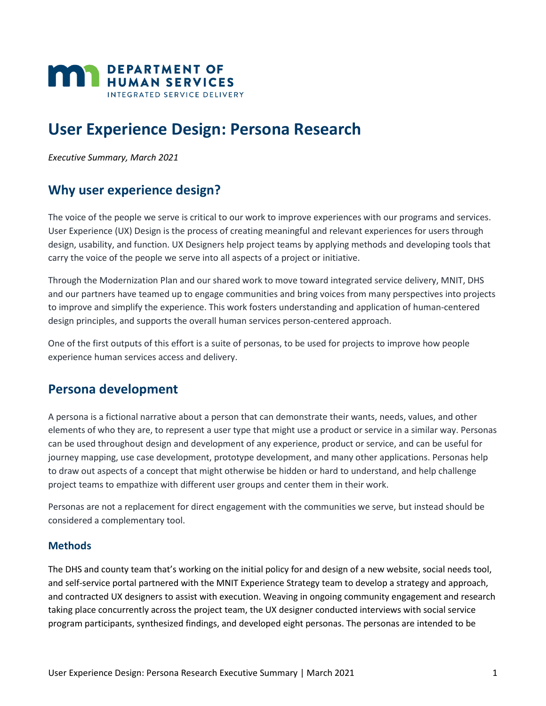

# **User Experience Design: Persona Research**

*Executive Summary, March 2021*

# **Why user experience design?**

The voice of the people we serve is critical to our work to improve experiences with our programs and services. User Experience (UX) Design is the process of creating meaningful and relevant experiences for users through design, usability, and function. UX Designers help project teams by applying methods and developing tools that carry the voice of the people we serve into all aspects of a project or initiative.

Through the Modernization Plan and our shared work to move toward integrated service delivery, MNIT, DHS and our partners have teamed up to engage communities and bring voices from many perspectives into projects to improve and simplify the experience. This work fosters understanding and application of human-centered design principles, and supports the overall human services person-centered approach.

One of the first outputs of this effort is a suite of personas, to be used for projects to improve how people experience human services access and delivery.

# **Persona development**

A persona is a fictional narrative about a person that can demonstrate their wants, needs, values, and other elements of who they are, to represent a user type that might use a product or service in a similar way. Personas can be used throughout design and development of any experience, product or service, and can be useful for journey mapping, use case development, prototype development, and many other applications. Personas help to draw out aspects of a concept that might otherwise be hidden or hard to understand, and help challenge project teams to empathize with different user groups and center them in their work.

Personas are not a replacement for direct engagement with the communities we serve, but instead should be considered a complementary tool.

# **Methods**

The DHS and county team that's working on the initial policy for and design of a new website, social needs tool, and self-service portal partnered with the MNIT Experience Strategy team to develop a strategy and approach, and contracted UX designers to assist with execution. Weaving in ongoing community engagement and research taking place concurrently across the project team, the UX designer conducted interviews with social service program participants, synthesized findings, and developed eight personas. The personas are intended to be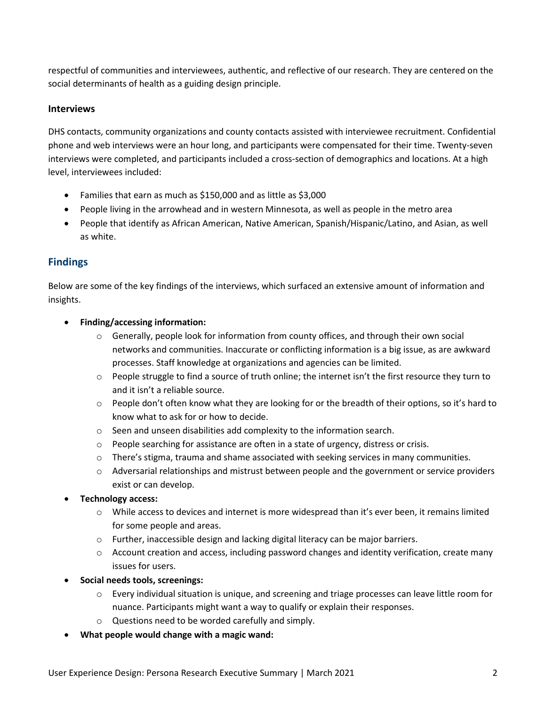respectful of communities and interviewees, authentic, and reflective of our research. They are centered on the social determinants of health as a guiding design principle.

## **Interviews**

DHS contacts, community organizations and county contacts assisted with interviewee recruitment. Confidential phone and web interviews were an hour long, and participants were compensated for their time. Twenty-seven interviews were completed, and participants included a cross-section of demographics and locations. At a high level, interviewees included:

- Families that earn as much as \$150,000 and as little as \$3,000
- People living in the arrowhead and in western Minnesota, as well as people in the metro area
- People that identify as African American, Native American, Spanish/Hispanic/Latino, and Asian, as well as white.

# **Findings**

Below are some of the key findings of the interviews, which surfaced an extensive amount of information and insights.

## • **Finding/accessing information:**

- $\circ$  Generally, people look for information from county offices, and through their own social networks and communities. Inaccurate or conflicting information is a big issue, as are awkward processes. Staff knowledge at organizations and agencies can be limited.
- $\circ$  People struggle to find a source of truth online; the internet isn't the first resource they turn to and it isn't a reliable source.
- o People don't often know what they are looking for or the breadth of their options, so it's hard to know what to ask for or how to decide.
- o Seen and unseen disabilities add complexity to the information search.
- $\circ$  People searching for assistance are often in a state of urgency, distress or crisis.
- $\circ$  There's stigma, trauma and shame associated with seeking services in many communities.
- $\circ$  Adversarial relationships and mistrust between people and the government or service providers exist or can develop.

#### • **Technology access:**

- $\circ$  While access to devices and internet is more widespread than it's ever been, it remains limited for some people and areas.
- o Further, inaccessible design and lacking digital literacy can be major barriers.
- $\circ$  Account creation and access, including password changes and identity verification, create many issues for users.
- **Social needs tools, screenings:** 
	- $\circ$  Every individual situation is unique, and screening and triage processes can leave little room for nuance. Participants might want a way to qualify or explain their responses.
	- o Questions need to be worded carefully and simply.
- **What people would change with a magic wand:**